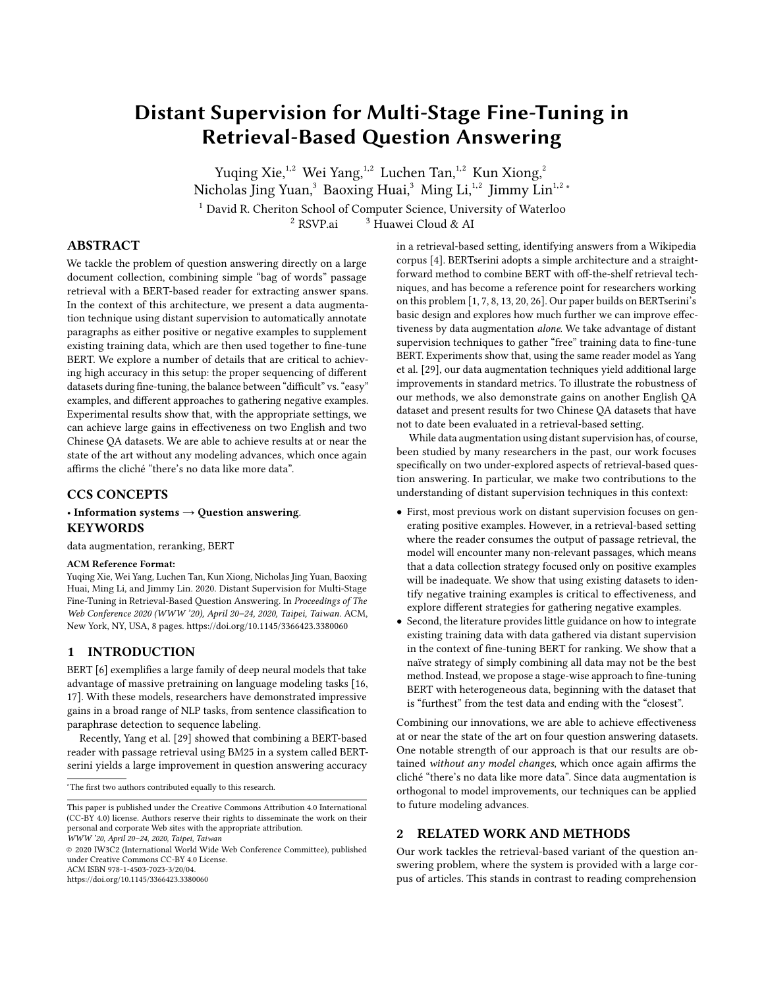# Distant Supervision for Multi-Stage Fine-Tuning in Retrieval-Based Question Answering

Yuqing Xie, $1,2$  Wei Yang, $1,2$  Luchen Tan, $1,2$  Kun Xiong, $2$ Nicholas Jing Yuan,<sup>3</sup> Baoxing Huai,<sup>3</sup> Ming Li,<sup>1,2</sup> Jimmy Lin<sup>1,2</sup><sup>\*</sup> <sup>1</sup> David R. Cheriton School of Computer Science, University of Waterloo  $^2$ RSVP.ai  $\qquad \, 3$  Huawei Cloud & AI

# ABSTRACT

We tackle the problem of question answering directly on a large document collection, combining simple "bag of words" passage retrieval with a BERT-based reader for extracting answer spans. In the context of this architecture, we present a data augmentation technique using distant supervision to automatically annotate paragraphs as either positive or negative examples to supplement existing training data, which are then used together to fine-tune BERT. We explore a number of details that are critical to achieving high accuracy in this setup: the proper sequencing of different datasets during fine-tuning, the balance between "difficult" vs. "easy" examples, and different approaches to gathering negative examples. Experimental results show that, with the appropriate settings, we can achieve large gains in effectiveness on two English and two Chinese QA datasets. We are able to achieve results at or near the state of the art without any modeling advances, which once again affirms the cliché "there's no data like more data".

## CCS CONCEPTS

## • Information systems  $\rightarrow$  Question answering. **KEYWORDS**

data augmentation, reranking, BERT

#### ACM Reference Format:

Yuqing Xie, Wei Yang, Luchen Tan, Kun Xiong, Nicholas Jing Yuan, Baoxing Huai, Ming Li, and Jimmy Lin. 2020. Distant Supervision for Multi-Stage Fine-Tuning in Retrieval-Based Question Answering. In Proceedings of The Web Conference 2020 (WWW '20), April 20–24, 2020, Taipei, Taiwan. ACM, New York, NY, USA, [8](#page-7-0) pages.<https://doi.org/10.1145/3366423.3380060>

# 1 INTRODUCTION

BERT [\[6\]](#page-6-0) exemplifies a large family of deep neural models that take advantage of massive pretraining on language modeling tasks [\[16,](#page-6-1) [17\]](#page-6-2). With these models, researchers have demonstrated impressive gains in a broad range of NLP tasks, from sentence classification to paraphrase detection to sequence labeling.

Recently, Yang et al. [\[29\]](#page-6-3) showed that combining a BERT-based reader with passage retrieval using BM25 in a system called BERTserini yields a large improvement in question answering accuracy

WWW '20, April 20–24, 2020, Taipei, Taiwan

© 2020 IW3C2 (International World Wide Web Conference Committee), published under Creative Commons CC-BY 4.0 License.

ACM ISBN 978-1-4503-7023-3/20/04.

<https://doi.org/10.1145/3366423.3380060>

in a retrieval-based setting, identifying answers from a Wikipedia corpus [\[4\]](#page-6-4). BERTserini adopts a simple architecture and a straightforward method to combine BERT with off-the-shelf retrieval techniques, and has become a reference point for researchers working on this problem [\[1,](#page-6-5) [7,](#page-6-6) [8,](#page-6-7) [13,](#page-6-8) [20,](#page-6-9) [26\]](#page-6-10). Our paper builds on BERTserini's basic design and explores how much further we can improve effectiveness by data augmentation alone. We take advantage of distant supervision techniques to gather "free" training data to fine-tune BERT. Experiments show that, using the same reader model as Yang et al. [\[29\]](#page-6-3), our data augmentation techniques yield additional large improvements in standard metrics. To illustrate the robustness of our methods, we also demonstrate gains on another English QA dataset and present results for two Chinese QA datasets that have not to date been evaluated in a retrieval-based setting.

While data augmentation using distant supervision has, of course, been studied by many researchers in the past, our work focuses specifically on two under-explored aspects of retrieval-based question answering. In particular, we make two contributions to the understanding of distant supervision techniques in this context:

- First, most previous work on distant supervision focuses on generating positive examples. However, in a retrieval-based setting where the reader consumes the output of passage retrieval, the model will encounter many non-relevant passages, which means that a data collection strategy focused only on positive examples will be inadequate. We show that using existing datasets to identify negative training examples is critical to effectiveness, and explore different strategies for gathering negative examples.
- Second, the literature provides little guidance on how to integrate existing training data with data gathered via distant supervision in the context of fine-tuning BERT for ranking. We show that a naïve strategy of simply combining all data may not be the best method. Instead, we propose a stage-wise approach to fine-tuning BERT with heterogeneous data, beginning with the dataset that is "furthest" from the test data and ending with the "closest".

Combining our innovations, we are able to achieve effectiveness at or near the state of the art on four question answering datasets. One notable strength of our approach is that our results are obtained without any model changes, which once again affirms the cliché "there's no data like more data". Since data augmentation is orthogonal to model improvements, our techniques can be applied to future modeling advances.

# 2 RELATED WORK AND METHODS

Our work tackles the retrieval-based variant of the question answering problem, where the system is provided with a large corpus of articles. This stands in contrast to reading comprehension

<sup>∗</sup>The first two authors contributed equally to this research.

This paper is published under the Creative Commons Attribution 4.0 International (CC-BY 4.0) license. Authors reserve their rights to disseminate the work on their personal and corporate Web sites with the appropriate attribution.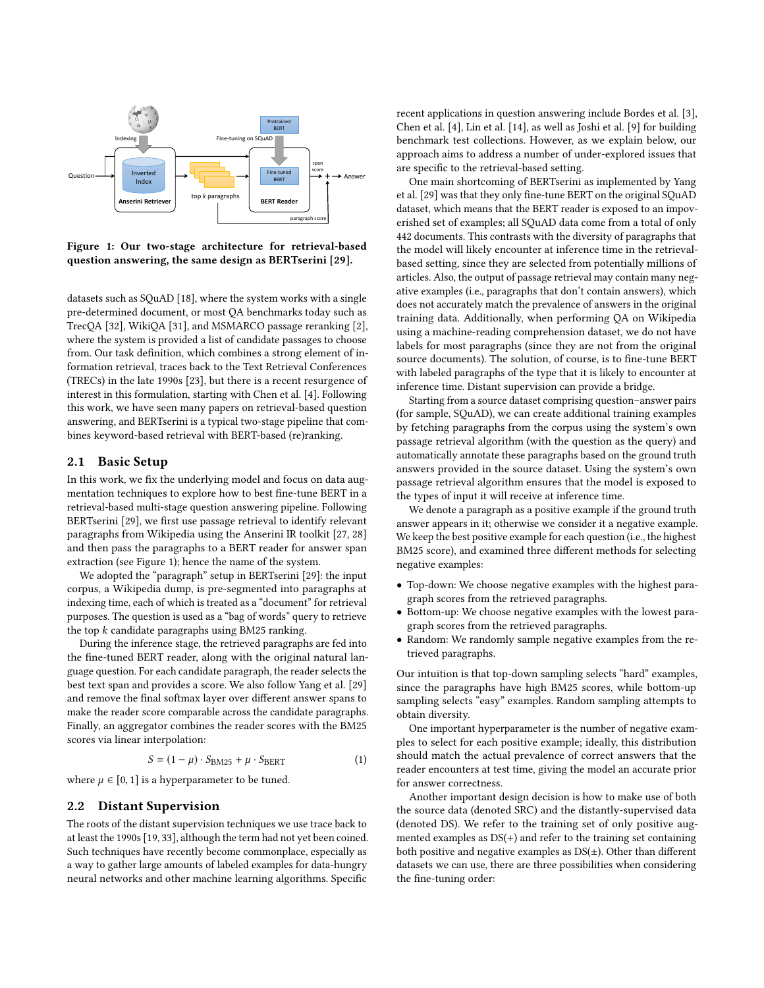<span id="page-1-0"></span>

Figure 1: Our two-stage architecture for retrieval-based question answering, the same design as BERTserini [\[29\]](#page-6-3).

datasets such as SQuAD [\[18\]](#page-6-11), where the system works with a single pre-determined document, or most QA benchmarks today such as TrecQA [\[32\]](#page-7-1), WikiQA [\[31\]](#page-7-2), and MSMARCO passage reranking [\[2\]](#page-6-12), where the system is provided a list of candidate passages to choose from. Our task definition, which combines a strong element of information retrieval, traces back to the Text Retrieval Conferences (TRECs) in the late 1990s [\[23\]](#page-6-13), but there is a recent resurgence of interest in this formulation, starting with Chen et al. [\[4\]](#page-6-4). Following this work, we have seen many papers on retrieval-based question answering, and BERTserini is a typical two-stage pipeline that combines keyword-based retrieval with BERT-based (re)ranking.

#### 2.1 Basic Setup

In this work, we fix the underlying model and focus on data augmentation techniques to explore how to best fine-tune BERT in a retrieval-based multi-stage question answering pipeline. Following BERTserini [\[29\]](#page-6-3), we first use passage retrieval to identify relevant paragraphs from Wikipedia using the Anserini IR toolkit [\[27,](#page-6-14) [28\]](#page-6-15) and then pass the paragraphs to a BERT reader for answer span extraction (see Figure [1\)](#page-1-0); hence the name of the system.

We adopted the "paragraph" setup in BERTserini [\[29\]](#page-6-3): the input corpus, a Wikipedia dump, is pre-segmented into paragraphs at indexing time, each of which is treated as a "document" for retrieval purposes. The question is used as a "bag of words" query to retrieve the top  $k$  candidate paragraphs using BM25 ranking.

During the inference stage, the retrieved paragraphs are fed into the fine-tuned BERT reader, along with the original natural language question. For each candidate paragraph, the reader selects the best text span and provides a score. We also follow Yang et al. [\[29\]](#page-6-3) and remove the final softmax layer over different answer spans to make the reader score comparable across the candidate paragraphs. Finally, an aggregator combines the reader scores with the BM25 scores via linear interpolation:

$$
S = (1 - \mu) \cdot S_{\text{BM25}} + \mu \cdot S_{\text{BERT}} \tag{1}
$$

where  $\mu \in [0, 1]$  is a hyperparameter to be tuned.

#### <span id="page-1-1"></span>2.2 Distant Supervision

The roots of the distant supervision techniques we use trace back to at least the 1990s [\[19,](#page-6-16) [33\]](#page-7-3), although the term had not yet been coined. Such techniques have recently become commonplace, especially as a way to gather large amounts of labeled examples for data-hungry neural networks and other machine learning algorithms. Specific

recent applications in question answering include Bordes et al. [\[3\]](#page-6-17), Chen et al. [\[4\]](#page-6-4), Lin et al. [\[14\]](#page-6-18), as well as Joshi et al. [\[9\]](#page-6-19) for building benchmark test collections. However, as we explain below, our approach aims to address a number of under-explored issues that are specific to the retrieval-based setting.

One main shortcoming of BERTserini as implemented by Yang et al. [\[29\]](#page-6-3) was that they only fine-tune BERT on the original SQuAD dataset, which means that the BERT reader is exposed to an impoverished set of examples; all SQuAD data come from a total of only 442 documents. This contrasts with the diversity of paragraphs that the model will likely encounter at inference time in the retrievalbased setting, since they are selected from potentially millions of articles. Also, the output of passage retrieval may contain many negative examples (i.e., paragraphs that don't contain answers), which does not accurately match the prevalence of answers in the original training data. Additionally, when performing QA on Wikipedia using a machine-reading comprehension dataset, we do not have labels for most paragraphs (since they are not from the original source documents). The solution, of course, is to fine-tune BERT with labeled paragraphs of the type that it is likely to encounter at inference time. Distant supervision can provide a bridge.

Starting from a source dataset comprising question–answer pairs (for sample, SQuAD), we can create additional training examples by fetching paragraphs from the corpus using the system's own passage retrieval algorithm (with the question as the query) and automatically annotate these paragraphs based on the ground truth answers provided in the source dataset. Using the system's own passage retrieval algorithm ensures that the model is exposed to the types of input it will receive at inference time.

We denote a paragraph as a positive example if the ground truth answer appears in it; otherwise we consider it a negative example. We keep the best positive example for each question (i.e., the highest BM25 score), and examined three different methods for selecting negative examples:

- Top-down: We choose negative examples with the highest paragraph scores from the retrieved paragraphs.
- Bottom-up: We choose negative examples with the lowest paragraph scores from the retrieved paragraphs.
- Random: We randomly sample negative examples from the retrieved paragraphs.

Our intuition is that top-down sampling selects "hard" examples, since the paragraphs have high BM25 scores, while bottom-up sampling selects "easy" examples. Random sampling attempts to obtain diversity.

One important hyperparameter is the number of negative examples to select for each positive example; ideally, this distribution should match the actual prevalence of correct answers that the reader encounters at test time, giving the model an accurate prior for answer correctness.

Another important design decision is how to make use of both the source data (denoted SRC) and the distantly-supervised data (denoted DS). We refer to the training set of only positive augmented examples as DS(+) and refer to the training set containing both positive and negative examples as  $DS(\pm)$ . Other than different datasets we can use, there are three possibilities when considering the fine-tuning order: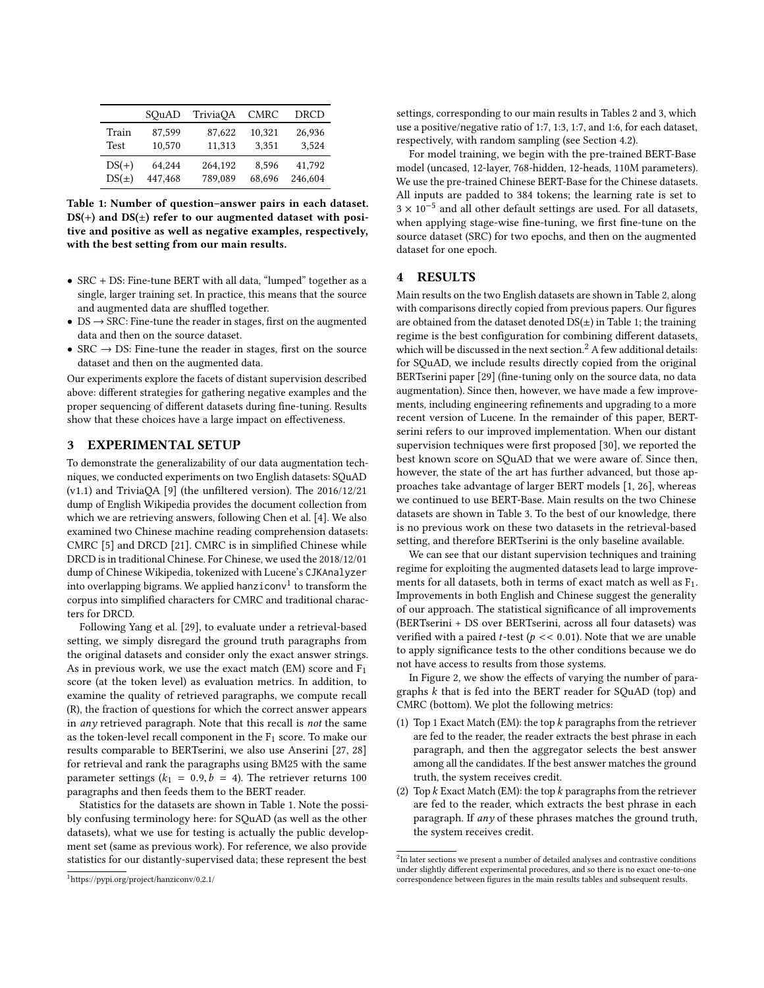<span id="page-2-1"></span>

|                      | SOuAD            | TriviaOA         | <b>CMRC</b>     | DRCD            |
|----------------------|------------------|------------------|-----------------|-----------------|
| Train<br><b>Test</b> | 87,599<br>10.570 | 87,622<br>11,313 | 10,321<br>3.351 | 26,936<br>3.524 |
| $DS(+)$              | 64.244           | 264,192          | 8.596           | 41,792          |
| $DS(\pm)$            | 447,468          | 789.089          | 68,696          | 246,604         |

Table 1: Number of question–answer pairs in each dataset.  $DS(+)$  and  $DS(±)$  refer to our augmented dataset with positive and positive as well as negative examples, respectively, with the best setting from our main results.

- SRC + DS: Fine-tune BERT with all data, "lumped" together as a single, larger training set. In practice, this means that the source and augmented data are shuffled together.
- $DS \rightarrow$  SRC: Fine-tune the reader in stages, first on the augmented data and then on the source dataset.
- SRC  $\rightarrow$  DS: Fine-tune the reader in stages, first on the source dataset and then on the augmented data.

Our experiments explore the facets of distant supervision described above: different strategies for gathering negative examples and the proper sequencing of different datasets during fine-tuning. Results show that these choices have a large impact on effectiveness.

# 3 EXPERIMENTAL SETUP

To demonstrate the generalizability of our data augmentation techniques, we conducted experiments on two English datasets: SQuAD (v1.1) and TriviaQA [\[9\]](#page-6-19) (the unfiltered version). The 2016/12/21 dump of English Wikipedia provides the document collection from which we are retrieving answers, following Chen et al. [\[4\]](#page-6-4). We also examined two Chinese machine reading comprehension datasets: CMRC [\[5\]](#page-6-20) and DRCD [\[21\]](#page-6-21). CMRC is in simplified Chinese while DRCD is in traditional Chinese. For Chinese, we used the 2018/12/01 dump of Chinese Wikipedia, tokenized with Lucene's CJKAnalyzer into overlapping bigrams. We applied hanziconv<sup>[1](#page-2-0)</sup> to transform the corpus into simplified characters for CMRC and traditional characters for DRCD.

Following Yang et al. [\[29\]](#page-6-3), to evaluate under a retrieval-based setting, we simply disregard the ground truth paragraphs from the original datasets and consider only the exact answer strings. As in previous work, we use the exact match (EM) score and  $F_1$ score (at the token level) as evaluation metrics. In addition, to examine the quality of retrieved paragraphs, we compute recall (R), the fraction of questions for which the correct answer appears in any retrieved paragraph. Note that this recall is not the same as the token-level recall component in the  $F_1$  score. To make our results comparable to BERTserini, we also use Anserini [\[27,](#page-6-14) [28\]](#page-6-15) for retrieval and rank the paragraphs using BM25 with the same parameter settings ( $k_1 = 0.9, b = 4$ ). The retriever returns 100 paragraphs and then feeds them to the BERT reader.

Statistics for the datasets are shown in Table [1.](#page-2-1) Note the possibly confusing terminology here: for SQuAD (as well as the other datasets), what we use for testing is actually the public development set (same as previous work). For reference, we also provide statistics for our distantly-supervised data; these represent the best

settings, corresponding to our main results in Tables [2](#page-3-0) and [3,](#page-3-1) which use a positive/negative ratio of 1:7, 1:3, 1:7, and 1:6, for each dataset, respectively, with random sampling (see Section [4.2\)](#page-4-0).

For model training, we begin with the pre-trained BERT-Base model (uncased, 12-layer, 768-hidden, 12-heads, 110M parameters). We use the pre-trained Chinese BERT-Base for the Chinese datasets. All inputs are padded to 384 tokens; the learning rate is set to 3 × 10−<sup>5</sup> and all other default settings are used. For all datasets, when applying stage-wise fine-tuning, we first fine-tune on the source dataset (SRC) for two epochs, and then on the augmented dataset for one epoch.

# 4 RESULTS

Main results on the two English datasets are shown in Table [2,](#page-3-0) along with comparisons directly copied from previous papers. Our figures are obtained from the dataset denoted  $DS(\pm)$  in Table [1;](#page-2-1) the training regime is the best configuration for combining different datasets, which will be discussed in the next section.<sup>[2](#page-2-2)</sup> A few additional details: for SQuAD, we include results directly copied from the original BERTserini paper [\[29\]](#page-6-3) (fine-tuning only on the source data, no data augmentation). Since then, however, we have made a few improvements, including engineering refinements and upgrading to a more recent version of Lucene. In the remainder of this paper, BERTserini refers to our improved implementation. When our distant supervision techniques were first proposed [\[30\]](#page-7-4), we reported the best known score on SQuAD that we were aware of. Since then, however, the state of the art has further advanced, but those approaches take advantage of larger BERT models [\[1,](#page-6-5) [26\]](#page-6-10), whereas we continued to use BERT-Base. Main results on the two Chinese datasets are shown in Table [3.](#page-3-1) To the best of our knowledge, there is no previous work on these two datasets in the retrieval-based setting, and therefore BERTserini is the only baseline available.

We can see that our distant supervision techniques and training regime for exploiting the augmented datasets lead to large improvements for all datasets, both in terms of exact match as well as F1. Improvements in both English and Chinese suggest the generality of our approach. The statistical significance of all improvements (BERTserini + DS over BERTserini, across all four datasets) was verified with a paired *t*-test ( $p \ll 0.01$ ). Note that we are unable to apply significance tests to the other conditions because we do not have access to results from those systems.

In Figure [2,](#page-3-2) we show the effects of varying the number of paragraphs k that is fed into the BERT reader for SQuAD (top) and CMRC (bottom). We plot the following metrics:

- (1) Top 1 Exact Match (EM): the top  $k$  paragraphs from the retriever are fed to the reader, the reader extracts the best phrase in each paragraph, and then the aggregator selects the best answer among all the candidates. If the best answer matches the ground truth, the system receives credit.
- (2) Top  $k$  Exact Match (EM): the top  $k$  paragraphs from the retriever are fed to the reader, which extracts the best phrase in each paragraph. If any of these phrases matches the ground truth, the system receives credit.

<span id="page-2-0"></span><sup>1</sup><https://pypi.org/project/hanziconv/0.2.1/>

<span id="page-2-2"></span> $^{2}$ In later sections we present a number of detailed analyses and contrastive conditions under slightly different experimental procedures, and so there is no exact one-to-one correspondence between figures in the main results tables and subsequent results.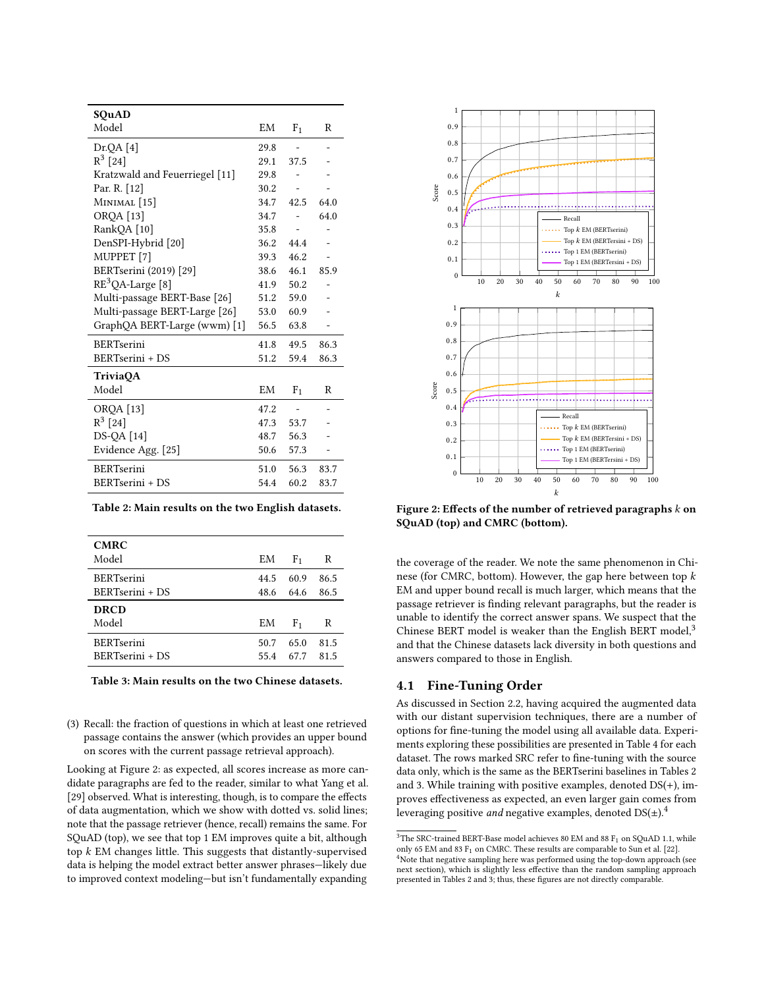<span id="page-3-0"></span>

| SQuAD                          |      |                |      |
|--------------------------------|------|----------------|------|
| Model                          | EM   | F <sub>1</sub> | R    |
| Dr.QA [4]                      | 29.8 |                |      |
| $R^3$ [24]                     | 29.1 | 37.5           |      |
| Kratzwald and Feuerriegel [11] | 29.8 |                |      |
| Par. R. [12]                   | 30.2 |                |      |
| MINIMAL <sup>[15]</sup>        | 34.7 | 42.5           | 64.0 |
| <b>OROA</b> [13]               | 34.7 |                | 64.0 |
| RankQA [10]                    | 35.8 |                |      |
| DenSPI-Hybrid [20]             | 36.2 | 44.4           |      |
| MUPPET <sup>[7]</sup>          | 39.3 | 46.2           |      |
| BERTserini (2019) [29]         | 38.6 | 46.1           | 85.9 |
| $RE3QA-Large [8]$              | 41.9 | 50.2           |      |
| Multi-passage BERT-Base [26]   | 51.2 | 59.0           |      |
| Multi-passage BERT-Large [26]  | 53.0 | 60.9           |      |
| GraphQA BERT-Large (wwm) [1]   | 56.5 | 63.8           |      |
| <b>BERTserini</b>              | 41.8 | 49.5           | 86.3 |
| BERTserini + DS                | 51.2 | 59.4           | 86.3 |
| <b>TriviaOA</b>                |      |                |      |
| Model                          | EM   | F <sub>1</sub> | R    |
| ORQA [13]                      | 47.2 |                |      |
| $R^3$ [24]                     | 47.3 | 53.7           |      |
| <b>DS-QA</b> [14]              | 48.7 | 56.3           |      |
| Evidence Agg. [25]             | 50.6 | 57.3           |      |
| <b>BERTserini</b>              | 51.0 | 56.3           | 83.7 |
| BERTserini + DS                | 54.4 | 60.2           | 83.7 |

|  |  |  |  | Table 2: Main results on the two English datasets. |
|--|--|--|--|----------------------------------------------------|
|  |  |  |  |                                                    |

<span id="page-3-1"></span>

| <b>CMRC</b>       |      |                |      |
|-------------------|------|----------------|------|
| Model             | EM   | F <sub>1</sub> | R    |
| <b>BERTserini</b> | 44.5 | 60.9           | 86.5 |
| BERTserini + DS   | 48.6 | 64.6           | 86.5 |
| <b>DRCD</b>       |      |                |      |
| Model             | ΕM   | F <sub>1</sub> | R    |
| <b>BERTserini</b> | 50.7 | 65.0           | 81.5 |
| BERTserini + DS   | 55.4 | 67.7           | 81.5 |
|                   |      |                |      |

Table 3: Main results on the two Chinese datasets.

(3) Recall: the fraction of questions in which at least one retrieved passage contains the answer (which provides an upper bound on scores with the current passage retrieval approach).

Looking at Figure [2:](#page-3-2) as expected, all scores increase as more candidate paragraphs are fed to the reader, similar to what Yang et al. [\[29\]](#page-6-3) observed. What is interesting, though, is to compare the effects of data augmentation, which we show with dotted vs. solid lines; note that the passage retriever (hence, recall) remains the same. For SQuAD (top), we see that top 1 EM improves quite a bit, although top  $k$  EM changes little. This suggests that distantly-supervised data is helping the model extract better answer phrases—likely due to improved context modeling—but isn't fundamentally expanding

<span id="page-3-2"></span>

Figure 2: Effects of the number of retrieved paragraphs  $k$  on SQuAD (top) and CMRC (bottom).

the coverage of the reader. We note the same phenomenon in Chinese (for CMRC, bottom). However, the gap here between top k EM and upper bound recall is much larger, which means that the passage retriever is finding relevant paragraphs, but the reader is unable to identify the correct answer spans. We suspect that the Chinese BERT model is weaker than the English BERT model,<sup>[3](#page-3-3)</sup> and that the Chinese datasets lack diversity in both questions and answers compared to those in English.

#### 4.1 Fine-Tuning Order

As discussed in Section [2.2,](#page-1-1) having acquired the augmented data with our distant supervision techniques, there are a number of options for fine-tuning the model using all available data. Experiments exploring these possibilities are presented in Table [4](#page-4-1) for each dataset. The rows marked SRC refer to fine-tuning with the source data only, which is the same as the BERTserini baselines in Tables [2](#page-3-0) and [3.](#page-3-1) While training with positive examples, denoted DS(+), improves effectiveness as expected, an even larger gain comes from leveraging positive *and* negative examples, denoted  $DS(\pm)$ .<sup>[4](#page-3-4)</sup>

<span id="page-3-4"></span><span id="page-3-3"></span> $^3\rm{The}$  SRC-trained BERT-Base model achieves 80 EM and 88 F $_1$  on SQuAD 1.1, while only 65 EM and 83  $F_1$  on CMRC. These results are comparable to Sun et al. [\[22\]](#page-6-28). <sup>4</sup>Note that negative sampling here was performed using the top-down approach (see next section), which is slightly less effective than the random sampling approach presented in Tables [2](#page-3-0) and [3;](#page-3-1) thus, these figures are not directly comparable.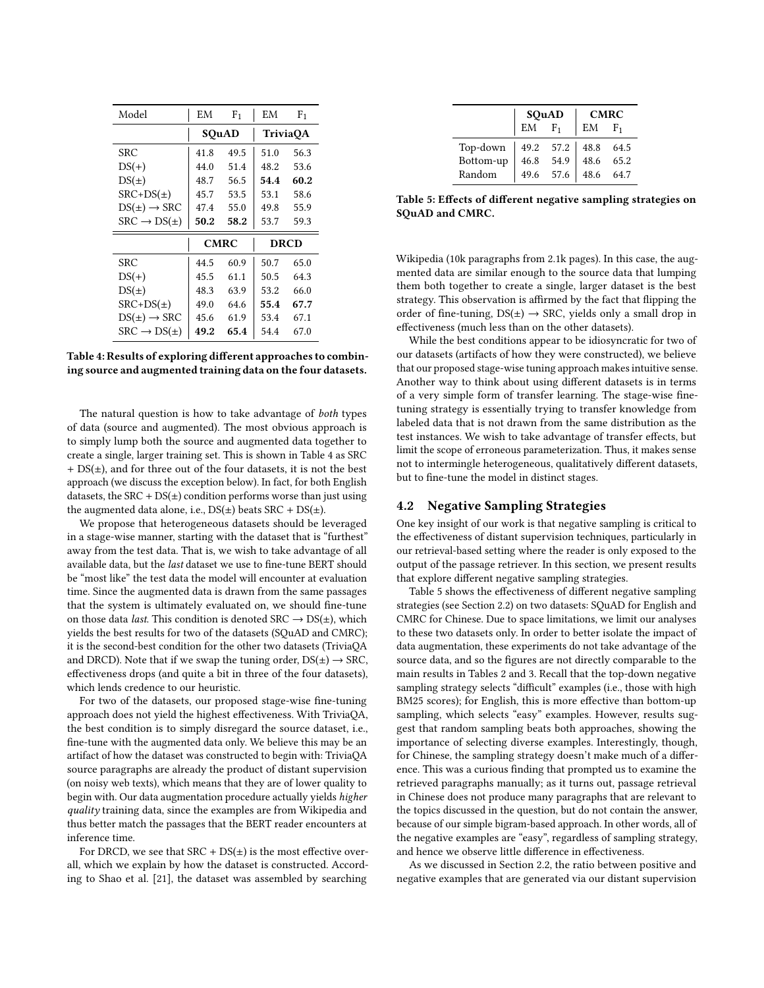<span id="page-4-1"></span>

| Model                     | ΕM   | F <sub>1</sub> | EM   | F <sub>1</sub>  |
|---------------------------|------|----------------|------|-----------------|
|                           |      | SQuAD          |      | <b>TriviaOA</b> |
| SRC                       | 41.8 | 49.5           | 51.0 | 56.3            |
| $DS(+)$                   | 44.0 | 51.4           | 48.2 | 53.6            |
| $DS(\pm)$                 | 48.7 | 56.5           | 54.4 | 60.2            |
| $SRC+DS(\pm)$             | 45.7 | 53.5           | 53.1 | 58.6            |
| $DS(\pm) \rightarrow SRC$ | 47.4 | 55.0           | 49.8 | 55.9            |
| $SRC \rightarrow DS(\pm)$ | 50.2 | 58.2           | 53.7 | 59.3            |
|                           |      | <b>CMRC</b>    |      | <b>DRCD</b>     |
| SRC                       | 44.5 | 60.9           | 50.7 | 65.0            |
| $DS(+)$                   | 45.5 | 61.1           | 50.5 | 64.3            |
| $DS(\pm)$                 | 48.3 | 63.9           | 53.2 | 66.0            |
| $SRC+DS(\pm)$             | 49.0 | 64.6           | 55.4 | 67.7            |
| $DS(\pm) \rightarrow SRC$ | 45.6 | 61.9           | 53.4 | 67.1            |
| $SRC \rightarrow DS(\pm)$ | 49.2 | 65.4           | 54.4 | 67.0            |

Table 4: Results of exploring different approaches to combining source and augmented training data on the four datasets.

The natural question is how to take advantage of both types of data (source and augmented). The most obvious approach is to simply lump both the source and augmented data together to create a single, larger training set. This is shown in Table [4](#page-4-1) as SRC + DS(±), and for three out of the four datasets, it is not the best approach (we discuss the exception below). In fact, for both English datasets, the  $SRC + DS(±)$  condition performs worse than just using the augmented data alone, i.e.,  $DS(\pm)$  beats  $SRC + DS(\pm)$ .

We propose that heterogeneous datasets should be leveraged in a stage-wise manner, starting with the dataset that is "furthest" away from the test data. That is, we wish to take advantage of all available data, but the last dataset we use to fine-tune BERT should be "most like" the test data the model will encounter at evaluation time. Since the augmented data is drawn from the same passages that the system is ultimately evaluated on, we should fine-tune on those data *last*. This condition is denoted  $SRC \rightarrow DS(\pm)$ , which yields the best results for two of the datasets (SQuAD and CMRC); it is the second-best condition for the other two datasets (TriviaQA and DRCD). Note that if we swap the tuning order,  $DS(\pm) \rightarrow$  SRC, effectiveness drops (and quite a bit in three of the four datasets), which lends credence to our heuristic.

For two of the datasets, our proposed stage-wise fine-tuning approach does not yield the highest effectiveness. With TriviaQA, the best condition is to simply disregard the source dataset, i.e., fine-tune with the augmented data only. We believe this may be an artifact of how the dataset was constructed to begin with: TriviaQA source paragraphs are already the product of distant supervision (on noisy web texts), which means that they are of lower quality to begin with. Our data augmentation procedure actually yields higher quality training data, since the examples are from Wikipedia and thus better match the passages that the BERT reader encounters at inference time.

For DRCD, we see that  $SRC + DS(±)$  is the most effective overall, which we explain by how the dataset is constructed. According to Shao et al. [\[21\]](#page-6-21), the dataset was assembled by searching

<span id="page-4-2"></span>

|                                                               | SQuAD      |                                                       | <b>CMRC</b> |       |  |
|---------------------------------------------------------------|------------|-------------------------------------------------------|-------------|-------|--|
|                                                               | $EM$ $F_1$ |                                                       | EM          | $F_1$ |  |
| Top-down 49.2 57.2 48.8 64.5<br>Bottom-up 46.8 54.9 48.6 65.2 |            |                                                       |             |       |  |
|                                                               |            |                                                       |             |       |  |
| Random                                                        |            | $\begin{vmatrix} 49.6 & 57.6 \end{vmatrix}$ 48.6 64.7 |             |       |  |

Table 5: Effects of different negative sampling strategies on SQuAD and CMRC.

Wikipedia (10k paragraphs from 2.1k pages). In this case, the augmented data are similar enough to the source data that lumping them both together to create a single, larger dataset is the best strategy. This observation is affirmed by the fact that flipping the order of fine-tuning,  $DS(\pm) \rightarrow SRC$ , yields only a small drop in effectiveness (much less than on the other datasets).

While the best conditions appear to be idiosyncratic for two of our datasets (artifacts of how they were constructed), we believe that our proposed stage-wise tuning approach makes intuitive sense. Another way to think about using different datasets is in terms of a very simple form of transfer learning. The stage-wise finetuning strategy is essentially trying to transfer knowledge from labeled data that is not drawn from the same distribution as the test instances. We wish to take advantage of transfer effects, but limit the scope of erroneous parameterization. Thus, it makes sense not to intermingle heterogeneous, qualitatively different datasets, but to fine-tune the model in distinct stages.

## <span id="page-4-0"></span>4.2 Negative Sampling Strategies

One key insight of our work is that negative sampling is critical to the effectiveness of distant supervision techniques, particularly in our retrieval-based setting where the reader is only exposed to the output of the passage retriever. In this section, we present results that explore different negative sampling strategies.

Table [5](#page-4-2) shows the effectiveness of different negative sampling strategies (see Section [2.2\)](#page-1-1) on two datasets: SQuAD for English and CMRC for Chinese. Due to space limitations, we limit our analyses to these two datasets only. In order to better isolate the impact of data augmentation, these experiments do not take advantage of the source data, and so the figures are not directly comparable to the main results in Tables [2](#page-3-0) and [3.](#page-3-1) Recall that the top-down negative sampling strategy selects "difficult" examples (i.e., those with high BM25 scores); for English, this is more effective than bottom-up sampling, which selects "easy" examples. However, results suggest that random sampling beats both approaches, showing the importance of selecting diverse examples. Interestingly, though, for Chinese, the sampling strategy doesn't make much of a difference. This was a curious finding that prompted us to examine the retrieved paragraphs manually; as it turns out, passage retrieval in Chinese does not produce many paragraphs that are relevant to the topics discussed in the question, but do not contain the answer, because of our simple bigram-based approach. In other words, all of the negative examples are "easy", regardless of sampling strategy, and hence we observe little difference in effectiveness.

As we discussed in Section [2.2,](#page-1-1) the ratio between positive and negative examples that are generated via our distant supervision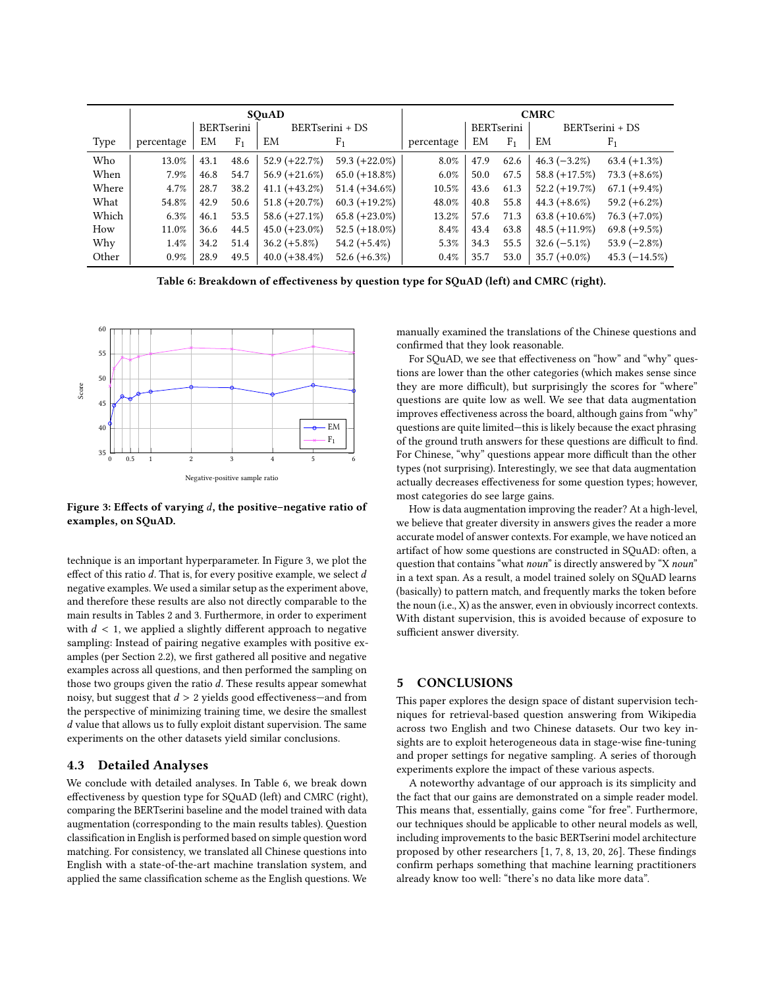<span id="page-5-1"></span>

|       | SOuAD      |      |                |                  |                  | <b>CMRC</b> |                   |                |                  |                 |
|-------|------------|------|----------------|------------------|------------------|-------------|-------------------|----------------|------------------|-----------------|
|       |            |      | BERTserini     |                  | BERTserini + DS  |             | <b>BERTserini</b> |                | BERTserini + DS  |                 |
| Type  | percentage | EM   | F <sub>1</sub> | EM               | F <sub>1</sub>   | percentage  | EM                | F <sub>1</sub> | EM               | F <sub>1</sub>  |
| Who   | 13.0%      | 43.1 | 48.6           | $52.9 (+22.7%)$  | $59.3 (+22.0\%)$ | 8.0%        | 47.9              | 62.6           | $46.3(-3.2\%)$   | $63.4 (+1.3\%)$ |
| When  | 7.9%       | 46.8 | 54.7           | $56.9 (+21.6\%)$ | $65.0 (+18.8\%)$ | $6.0\%$     | 50.0              | 67.5           | 58.8 $(+17.5%)$  | $73.3 (+8.6\%)$ |
| Where | 4.7%       | 28.7 | 38.2           | $41.1 (+43.2\%)$ | $51.4 (+34.6%)$  | $10.5\%$    | 43.6              | 61.3           | $52.2 (+19.7%)$  | $67.1 (+9.4\%)$ |
| What  | 54.8%      | 42.9 | 50.6           | $51.8 (+20.7%)$  | $60.3 (+19.2\%)$ | 48.0%       | 40.8              | 55.8           | $44.3 (+8.6\%)$  | $59.2 (+6.2\%)$ |
| Which | 6.3%       | 46.1 | 53.5           | $58.6 (+27.1\%)$ | $65.8 (+23.0\%)$ | 13.2%       | 57.6              | 71.3           | $63.8 (+10.6\%)$ | $76.3 (+7.0\%)$ |
| How   | 11.0%      | 36.6 | 44.5           | $45.0 (+23.0\%)$ | $52.5 (+18.0\%)$ | $8.4\%$     | 43.4              | 63.8           | $48.5 (+11.9\%)$ | $69.8 (+9.5%)$  |
| Why   | 1.4%       | 34.2 | 51.4           | $36.2 (+5.8\%)$  | $54.2 (+5.4\%)$  | 5.3%        | 34.3              | 55.5           | $32.6(-5.1\%)$   | $53.9(-2.8\%)$  |
| Other | $0.9\%$    | 28.9 | 49.5           | 40.0 $(+38.4\%)$ | $52.6 (+6.3\%)$  | $0.4\%$     | 35.7              | 53.0           | $35.7 (+0.0\%)$  | $45.3(-14.5\%)$ |

Table 6: Breakdown of effectiveness by question type for SQuAD (left) and CMRC (right).

<span id="page-5-0"></span>

Figure 3: Effects of varying  $d$ , the positive–negative ratio of examples, on SQuAD.

technique is an important hyperparameter. In Figure [3,](#page-5-0) we plot the effect of this ratio d. That is, for every positive example, we select d negative examples. We used a similar setup as the experiment above, and therefore these results are also not directly comparable to the main results in Tables [2](#page-3-0) and [3.](#page-3-1) Furthermore, in order to experiment with  $d < 1$ , we applied a slightly different approach to negative sampling: Instead of pairing negative examples with positive examples (per Section [2.2\)](#page-1-1), we first gathered all positive and negative examples across all questions, and then performed the sampling on those two groups given the ratio  $d$ . These results appear somewhat noisy, but suggest that  $d > 2$  yields good effectiveness—and from the perspective of minimizing training time, we desire the smallest d value that allows us to fully exploit distant supervision. The same experiments on the other datasets yield similar conclusions.

## 4.3 Detailed Analyses

We conclude with detailed analyses. In Table [6,](#page-5-1) we break down effectiveness by question type for SQuAD (left) and CMRC (right), comparing the BERTserini baseline and the model trained with data augmentation (corresponding to the main results tables). Question classification in English is performed based on simple question word matching. For consistency, we translated all Chinese questions into English with a state-of-the-art machine translation system, and applied the same classification scheme as the English questions. We manually examined the translations of the Chinese questions and confirmed that they look reasonable.

For SQuAD, we see that effectiveness on "how" and "why" questions are lower than the other categories (which makes sense since they are more difficult), but surprisingly the scores for "where" questions are quite low as well. We see that data augmentation improves effectiveness across the board, although gains from "why" questions are quite limited—this is likely because the exact phrasing of the ground truth answers for these questions are difficult to find. For Chinese, "why" questions appear more difficult than the other types (not surprising). Interestingly, we see that data augmentation actually decreases effectiveness for some question types; however, most categories do see large gains.

How is data augmentation improving the reader? At a high-level, we believe that greater diversity in answers gives the reader a more accurate model of answer contexts. For example, we have noticed an artifact of how some questions are constructed in SQuAD: often, a question that contains "what noun" is directly answered by "X noun" in a text span. As a result, a model trained solely on SQuAD learns (basically) to pattern match, and frequently marks the token before the noun (i.e., X) as the answer, even in obviously incorrect contexts. With distant supervision, this is avoided because of exposure to sufficient answer diversity.

# 5 CONCLUSIONS

This paper explores the design space of distant supervision techniques for retrieval-based question answering from Wikipedia across two English and two Chinese datasets. Our two key insights are to exploit heterogeneous data in stage-wise fine-tuning and proper settings for negative sampling. A series of thorough experiments explore the impact of these various aspects.

A noteworthy advantage of our approach is its simplicity and the fact that our gains are demonstrated on a simple reader model. This means that, essentially, gains come "for free". Furthermore, our techniques should be applicable to other neural models as well, including improvements to the basic BERTserini model architecture proposed by other researchers [\[1,](#page-6-5) [7,](#page-6-6) [8,](#page-6-7) [13,](#page-6-8) [20,](#page-6-9) [26\]](#page-6-10). These findings confirm perhaps something that machine learning practitioners already know too well: "there's no data like more data".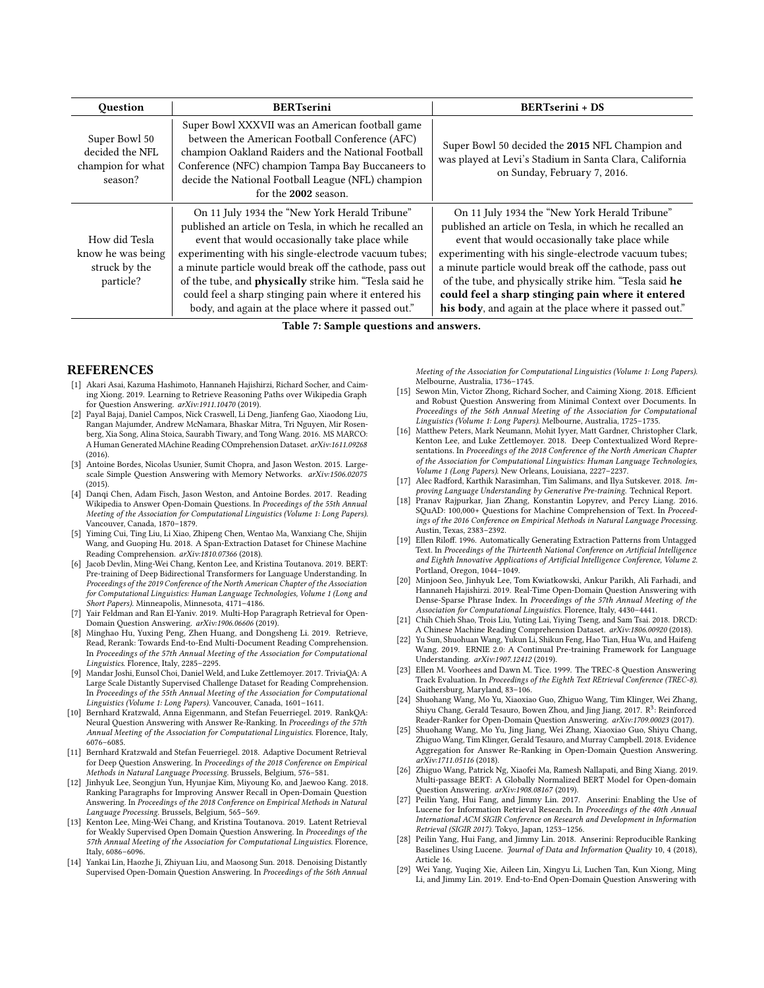| <b>Ouestion</b>                                                  | <b>BERTserini</b>                                                                                                                                                                                                                                                                                                                                                                                                                                             | <b>BERTserini + DS</b>                                                                                                                                                                                                                                                                                                                                                                                                                                 |
|------------------------------------------------------------------|---------------------------------------------------------------------------------------------------------------------------------------------------------------------------------------------------------------------------------------------------------------------------------------------------------------------------------------------------------------------------------------------------------------------------------------------------------------|--------------------------------------------------------------------------------------------------------------------------------------------------------------------------------------------------------------------------------------------------------------------------------------------------------------------------------------------------------------------------------------------------------------------------------------------------------|
| Super Bowl 50<br>decided the NFL<br>champion for what<br>season? | Super Bowl XXXVII was an American football game<br>between the American Football Conference (AFC)<br>champion Oakland Raiders and the National Football<br>Conference (NFC) champion Tampa Bay Buccaneers to<br>decide the National Football League (NFL) champion<br>for the 2002 season.                                                                                                                                                                    | Super Bowl 50 decided the 2015 NFL Champion and<br>was played at Levi's Stadium in Santa Clara, California<br>on Sunday, February 7, 2016.                                                                                                                                                                                                                                                                                                             |
| How did Tesla<br>know he was being<br>struck by the<br>particle? | On 11 July 1934 the "New York Herald Tribune"<br>published an article on Tesla, in which he recalled an<br>event that would occasionally take place while<br>experimenting with his single-electrode vacuum tubes;<br>a minute particle would break off the cathode, pass out<br>of the tube, and <b>physically</b> strike him. "Tesla said he<br>could feel a sharp stinging pain where it entered his<br>body, and again at the place where it passed out." | On 11 July 1934 the "New York Herald Tribune"<br>published an article on Tesla, in which he recalled an<br>event that would occasionally take place while<br>experimenting with his single-electrode vacuum tubes;<br>a minute particle would break off the cathode, pass out<br>of the tube, and physically strike him. "Tesla said he<br>could feel a sharp stinging pain where it entered<br>his body, and again at the place where it passed out." |

Table 7: Sample questions and answers.

## **REFERENCES**

- <span id="page-6-5"></span>[1] Akari Asai, Kazuma Hashimoto, Hannaneh Hajishirzi, Richard Socher, and Caiming Xiong. 2019. Learning to Retrieve Reasoning Paths over Wikipedia Graph for Question Answering. arXiv:1911.10470 (2019).
- <span id="page-6-12"></span>[2] Payal Bajaj, Daniel Campos, Nick Craswell, Li Deng, Jianfeng Gao, Xiaodong Liu, Rangan Majumder, Andrew McNamara, Bhaskar Mitra, Tri Nguyen, Mir Rosenberg, Xia Song, Alina Stoica, Saurabh Tiwary, and Tong Wang. 2016. MS MARCO: A Human Generated MAchine Reading COmprehension Dataset. arXiv:1611.09268 (2016).
- <span id="page-6-17"></span>[3] Antoine Bordes, Nicolas Usunier, Sumit Chopra, and Jason Weston. 2015. Largescale Simple Question Answering with Memory Networks. arXiv:1506.02075 (2015).
- <span id="page-6-4"></span>[4] Danqi Chen, Adam Fisch, Jason Weston, and Antoine Bordes. 2017. Reading Wikipedia to Answer Open-Domain Questions. In Proceedings of the 55th Annual Meeting of the Association for Computational Linguistics (Volume 1: Long Papers). Vancouver, Canada, 1870–1879.
- <span id="page-6-20"></span>[5] Yiming Cui, Ting Liu, Li Xiao, Zhipeng Chen, Wentao Ma, Wanxiang Che, Shijin Wang, and Guoping Hu. 2018. A Span-Extraction Dataset for Chinese Machine Reading Comprehension. arXiv:1810.07366 (2018).
- <span id="page-6-0"></span>[6] Jacob Devlin, Ming-Wei Chang, Kenton Lee, and Kristina Toutanova. 2019. BERT: Pre-training of Deep Bidirectional Transformers for Language Understanding. In Proceedings of the 2019 Conference of the North American Chapter of the Association for Computational Linguistics: Human Language Technologies, Volume 1 (Long and Short Papers). Minneapolis, Minnesota, 4171–4186.
- <span id="page-6-6"></span>[7] Yair Feldman and Ran El-Yaniv. 2019. Multi-Hop Paragraph Retrieval for Open-Domain Question Answering. arXiv:1906.06606 (2019).
- <span id="page-6-7"></span>[8] Minghao Hu, Yuxing Peng, Zhen Huang, and Dongsheng Li. 2019. Retrieve, Read, Rerank: Towards End-to-End Multi-Document Reading Comprehension. In Proceedings of the 57th Annual Meeting of the Association for Computational Linguistics. Florence, Italy, 2285–2295.
- <span id="page-6-19"></span>[9] Mandar Joshi, Eunsol Choi, Daniel Weld, and Luke Zettlemoyer. 2017. TriviaQA: A Large Scale Distantly Supervised Challenge Dataset for Reading Comprehension. In Proceedings of the 55th Annual Meeting of the Association for Computational Linguistics (Volume 1: Long Papers). Vancouver, Canada, 1601–1611.
- <span id="page-6-26"></span>[10] Bernhard Kratzwald, Anna Eigenmann, and Stefan Feuerriegel. 2019. RankQA: Neural Question Answering with Answer Re-Ranking. In Proceedings of the 57th Annual Meeting of the Association for Computational Linguistics. Florence, Italy, 6076–6085.
- <span id="page-6-23"></span>[11] Bernhard Kratzwald and Stefan Feuerriegel. 2018. Adaptive Document Retrieval for Deep Question Answering. In Proceedings of the 2018 Conference on Empirical Methods in Natural Language Processing. Brussels, Belgium, 576–581.
- <span id="page-6-24"></span>[12] Jinhyuk Lee, Seongjun Yun, Hyunjae Kim, Miyoung Ko, and Jaewoo Kang. 2018. Ranking Paragraphs for Improving Answer Recall in Open-Domain Question Answering. In Proceedings of the 2018 Conference on Empirical Methods in Natural Language Processing. Brussels, Belgium, 565–569.
- <span id="page-6-8"></span>[13] Kenton Lee, Ming-Wei Chang, and Kristina Toutanova. 2019. Latent Retrieval for Weakly Supervised Open Domain Question Answering. In Proceedings of the 57th Annual Meeting of the Association for Computational Linguistics. Florence, Italy, 6086–6096.
- <span id="page-6-18"></span>[14] Yankai Lin, Haozhe Ji, Zhiyuan Liu, and Maosong Sun. 2018. Denoising Distantly Supervised Open-Domain Question Answering. In Proceedings of the 56th Annual

Meeting of the Association for Computational Linguistics (Volume 1: Long Papers). Melbourne, Australia, 1736–1745.

- <span id="page-6-25"></span>[15] Sewon Min, Victor Zhong, Richard Socher, and Caiming Xiong. 2018. Efficient and Robust Question Answering from Minimal Context over Documents. In Proceedings of the 56th Annual Meeting of the Association for Computational Linguistics (Volume 1: Long Papers). Melbourne, Australia, 1725–1735.
- <span id="page-6-1"></span>[16] Matthew Peters, Mark Neumann, Mohit Iyyer, Matt Gardner, Christopher Clark, Kenton Lee, and Luke Zettlemoyer. 2018. Deep Contextualized Word Representations. In Proceedings of the 2018 Conference of the North American Chapter of the Association for Computational Linguistics: Human Language Technologies, Volume 1 (Long Papers). New Orleans, Louisiana, 2227–2237.
- <span id="page-6-2"></span>[17] Alec Radford, Karthik Narasimhan, Tim Salimans, and Ilya Sutskever. 2018. Improving Language Understanding by Generative Pre-training. Technical Report.
- <span id="page-6-11"></span>[18] Pranav Rajpurkar, Jian Zhang, Konstantin Lopyrev, and Percy Liang. 2016. SQuAD: 100,000+ Questions for Machine Comprehension of Text. In Proceedings of the 2016 Conference on Empirical Methods in Natural Language Processing. Austin, Texas, 2383–2392.
- <span id="page-6-16"></span>[19] Ellen Riloff. 1996. Automatically Generating Extraction Patterns from Untagged Text. In Proceedings of the Thirteenth National Conference on Artificial Intelligence and Eighth Innovative Applications of Artificial Intelligence Conference, Volume 2. Portland, Oregon, 1044–1049.
- <span id="page-6-9"></span>[20] Minjoon Seo, Jinhyuk Lee, Tom Kwiatkowski, Ankur Parikh, Ali Farhadi, and Hannaneh Hajishirzi. 2019. Real-Time Open-Domain Question Answering with Dense-Sparse Phrase Index. In Proceedings of the 57th Annual Meeting of the Association for Computational Linguistics. Florence, Italy, 4430–4441.
- <span id="page-6-21"></span>[21] Chih Chieh Shao, Trois Liu, Yuting Lai, Yiying Tseng, and Sam Tsai. 2018. DRCD: A Chinese Machine Reading Comprehension Dataset. arXiv:1806.00920 (2018).
- <span id="page-6-28"></span>[22] Yu Sun, Shuohuan Wang, Yukun Li, Shikun Feng, Hao Tian, Hua Wu, and Haifeng Wang. 2019. ERNIE 2.0: A Continual Pre-training Framework for Language Understanding. arXiv:1907.12412 (2019).
- <span id="page-6-13"></span>[23] Ellen M. Voorhees and Dawn M. Tice. 1999. The TREC-8 Question Answering Track Evaluation. In Proceedings of the Eighth Text REtrieval Conference (TREC-8). Gaithersburg, Maryland, 83–106.
- <span id="page-6-22"></span>[24] Shuohang Wang, Mo Yu, Xiaoxiao Guo, Zhiguo Wang, Tim Klinger, Wei Zhang, Shivu Chang, Gerald Tesauro, Bowen Zhou, and Jing Jiang, 2017,  $\mathbb{R}^3$ : Reinforced Reader-Ranker for Open-Domain Question Answering. arXiv:1709.00023 (2017).
- <span id="page-6-27"></span>[25] Shuohang Wang, Mo Yu, Jing Jiang, Wei Zhang, Xiaoxiao Guo, Shiyu Chang, Zhiguo Wang, Tim Klinger, Gerald Tesauro, and Murray Campbell. 2018. Evidence Aggregation for Answer Re-Ranking in Open-Domain Question Answering. arXiv:1711.05116 (2018).
- <span id="page-6-10"></span>[26] Zhiguo Wang, Patrick Ng, Xiaofei Ma, Ramesh Nallapati, and Bing Xiang. 2019. Multi-passage BERT: A Globally Normalized BERT Model for Open-domain Question Answering. arXiv:1908.08167 (2019).
- <span id="page-6-14"></span>Peilin Yang, Hui Fang, and Jimmy Lin. 2017. Anserini: Enabling the Use of Lucene for Information Retrieval Research. In Proceedings of the 40th Annual International ACM SIGIR Conference on Research and Development in Information Retrieval (SIGIR 2017). Tokyo, Japan, 1253–1256.
- <span id="page-6-15"></span>[28] Peilin Yang, Hui Fang, and Jimmy Lin. 2018. Anserini: Reproducible Ranking Baselines Using Lucene. Journal of Data and Information Quality 10, 4 (2018), Article 16.
- <span id="page-6-3"></span>[29] Wei Yang, Yuqing Xie, Aileen Lin, Xingyu Li, Luchen Tan, Kun Xiong, Ming Li, and Jimmy Lin. 2019. End-to-End Open-Domain Question Answering with